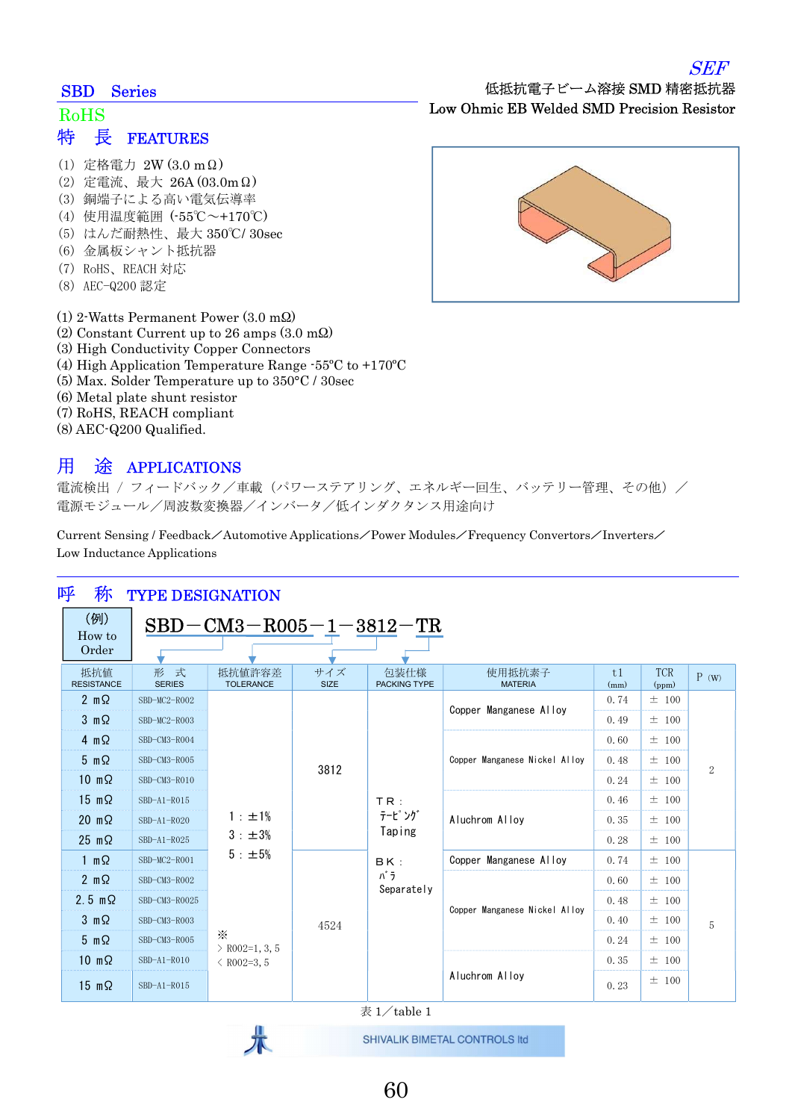#### SBD Series

### 特 長 FEATURES RoHS

- (1) 定格電力 2W (3.0 mΩ)
- (2) 定電流、最大 26A (03.0mΩ)
- (3) 銅端子による高い電気伝導率
- (4) 使用温度範囲 (-55℃~+170℃)
- (5) はんだ耐熱性、最大 350℃/ 30sec
- (6) 金属板シャント抵抗器
- (7) RoHS、REACH 対応
- (8) AEC-Q200 認定
- (1) 2-Watts Permanent Power (3.0 mΩ)
- (2) Constant Current up to 26 amps (3.0 mΩ)
- (3) High Conductivity Copper Connectors
- (4) High Application Temperature Range -55ºC to +170ºC
- (5) Max. Solder Temperature up to 350°C / 30sec
- (6) Metal plate shunt resistor
- (7) RoHS, REACH compliant
- (8) AEC-Q200 Qualified.

### 用 途 APPLICATIONS

電流検出 / フィードバック/車載 (パワーステアリング、エネルギー回生、バッテリー管理、その他) / 電源モジュール/周波数変換器/インバータ/低インダクタンス用途向け

Current Sensing / Feedback/Automotive Applications/Power Modules/Frequency Convertors/Inverters/ Low Inductance Applications

| 呼<br>称<br><b>TYPE DESIGNATION</b> |                              |                                                        |                    |                                                   |                               |            |                     |                |
|-----------------------------------|------------------------------|--------------------------------------------------------|--------------------|---------------------------------------------------|-------------------------------|------------|---------------------|----------------|
| (例)<br>$SBD-CM3-R005-1-3812-TR$   |                              |                                                        |                    |                                                   |                               |            |                     |                |
| How to<br>Order                   |                              |                                                        |                    |                                                   |                               |            |                     |                |
| 抵抗値<br><b>RESISTANCE</b>          | ÷<br>形<br>式<br><b>SERIES</b> | 抵抗值許容差<br><b>TOLERANCE</b>                             | サイズ<br><b>SIZE</b> | 包装仕様<br>PACKING TYPE                              | 使用抵抗素子<br><b>MATERIA</b>      | t1<br>(mm) | <b>TCR</b><br>(ppm) | P(w)           |
| $2 \text{ m}\Omega$               | SBD-MC2-R002                 |                                                        | 3812               | TR:<br>テーピング<br>Taping<br>BK:<br>パラ<br>Separately | Copper Manganese Alloy        | 0.74       | $±$ 100             | $\overline{2}$ |
| $3 \, m\Omega$                    | SBD-MC2-R003                 |                                                        |                    |                                                   |                               | 0.49       | ±100                |                |
| $4 \, m\Omega$                    | SBD-CM3-R004                 | 1 : ±1%<br>3 : ±3%<br>5 : ±5%                          |                    |                                                   | Copper Manganese Nickel Alloy | 0.60       | $±$ 100             |                |
| $5 \, \text{m}\Omega$             | SBD-CM3-R005                 |                                                        |                    |                                                   |                               | 0.48       | $\pm$ 100           |                |
| $10 \, \text{m}\Omega$            | SBD-CM3-R010                 |                                                        |                    |                                                   |                               | 0.24       | ±100                |                |
| $15 \text{ m}\Omega$              | $SBD-A1-R015$                |                                                        |                    |                                                   | Aluchrom Allov                | 0.46       | ±100                |                |
| $20 \text{ m}\Omega$              | $SBD-A1-R020$                |                                                        |                    |                                                   |                               | 0.35       | ±100                |                |
| $25 \text{ m}\Omega$              | $SBD-A1-R025$                |                                                        |                    |                                                   |                               | 0.28       | ±100                |                |
| 1 m $\Omega$                      | SBD-MC2-R001                 |                                                        | 4524               |                                                   | Copper Manganese Alloy        | 0.74       | ±100                | 5              |
| $2 \text{ m}\Omega$               | SBD-CM3-R002                 |                                                        |                    |                                                   | Copper Manganese Nickel Alloy | 0.60       | ±100                |                |
| $2.5 \text{ m}\Omega$             | SBD-CM3-R0025                |                                                        |                    |                                                   |                               | 0.48       | ±100                |                |
| $3 \, m\Omega$                    | SBD-CM3-R003                 | $\times$<br>$\geq$ R002=1, 3, 5<br>$\langle$ R002=3, 5 |                    |                                                   |                               | 0.40       | $\pm$ 100           |                |
| $5 \, \text{m}\Omega$             | SBD-CM3-R005                 |                                                        |                    |                                                   |                               | 0.24       | ±100                |                |
| $10 \, \text{m}\Omega$            | SBD-A1-R010                  |                                                        |                    |                                                   | Aluchrom Alloy                | 0.35       | $\pm$ 100           |                |
| $15 \, m\Omega$                   | $SBD-A1-R015$                |                                                        |                    |                                                   |                               | 0.23       | ±100                |                |

表 1/table 1

SHIVALIK BIMETAL CONTROLS Itd

Low Ohmic EB Welded SMD Precision Resistor

低抵抗電子ビーム溶接 SMD 精密抵抗器



## SEF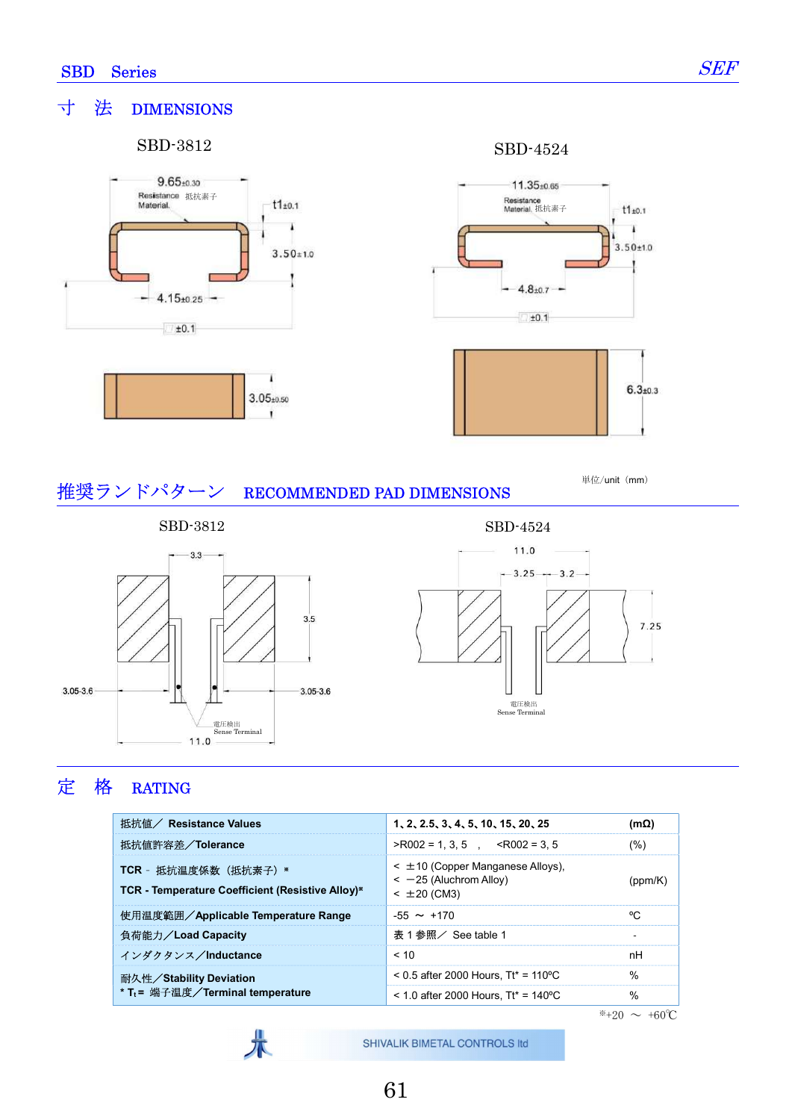### 寸 法 DIMENSIONS

#### SBD-3812 SBD-4524







単位/unit (mm)

## 推奨ランドパターン RECOMMENDED PAD DIMENSIONS

 $3.5$ 

 $3.05 - 3.6$ 



 $-3.3-$ 

11.0



## 定 格 RATING

 $3.05 - 3.6$ 

| 抵抗値/ Resistance Values                                                    | 1, 2, 2.5, 3, 4, 5, 10, 15, 20, 25                                                          | (mΩ)          |
|---------------------------------------------------------------------------|---------------------------------------------------------------------------------------------|---------------|
| 抵抗値許容差/Tolerance                                                          | $>$ R002 = 1.3.5 <r002 3.5<="" =="" th=""><th>(%)</th></r002>                               | (%)           |
| TCR - 抵抗温度係数 (抵抗素子) *<br>TCR - Temperature Coefficient (Resistive Alloy)* | $\leq \pm 10$ (Copper Manganese Alloys).<br>$\leq$ -25 (Aluchrom Alloy)<br>$< \pm 20$ (CM3) | (ppm/K)       |
| 使用温度範囲/Applicable Temperature Range                                       | $-55 \sim +170$                                                                             | °C.           |
| 負荷能力/Load Capacity                                                        | 表 1 参照/ See table 1                                                                         |               |
| インダクタンス/Inductance                                                        | ~10                                                                                         | nH            |
| 耐久性/Stability Deviation                                                   | $0.5$ after 2000 Hours. Tt* = 110 °C                                                        | $\frac{0}{0}$ |
| * T <sub>t</sub> = 端子温度/Terminal temperature                              | $<$ 1.0 after 2000 Hours. Tt* = 140 °C                                                      | $\%$          |



電圧検出 Sense Terminal

 $*+20 \sim +60$ °C